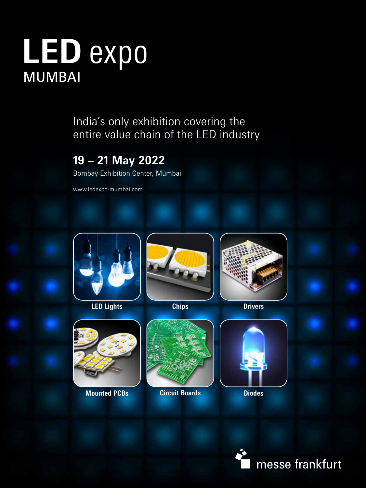# LED expo **MUMBAI**

India's only exhibition covering the entire value chain of the LED industry

### **19 – 21 May 2022**

Bombay Exhibition Center, Mumbai

www.ledexpo-mumbai.com



**LED Lights Chips Drivers**









**Mounted PCBs <b>Circuit Boards Diodes Circuit Boards**



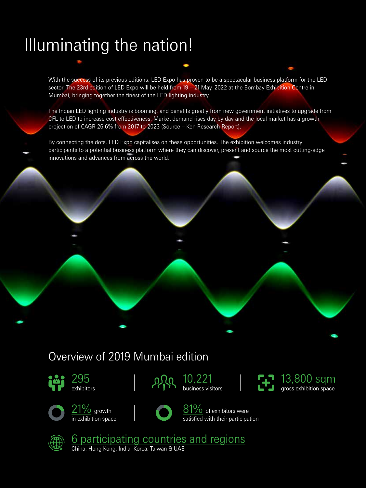## Illuminating the nation!

With the success of its previous editions, LED Expo has proven to be a spectacular business platform for the LED sector. The 23rd edition of LED Expo will be held from 19 – 21 May, 2022 at the Bombay Exhibition Centre in Mumbai, bringing together the finest of the LED lighting industry.

The Indian LED lighting industry is booming, and benefits greatly from new government initiatives to upgrade from CFL to LED to increase cost effectiveness. Market demand rises day by day and the local market has a growth projection of CAGR 26.6% from 2017 to 2023 (Source – Ken Research Report).

By connecting the dots, LED Expo capitalises on these opportunities. The exhibition welcomes industry participants to a potential business platform where they can discover, present and source the most cutting-edge innovations and advances from across the world.

### Overview of 2019 Mumbai edition



295 exhibitors







 $21\%$  growth in exhibition space



81% of exhibitors were satisfied with their participation



6 participating countries and regions China, Hong Kong, India, Korea, Taiwan & UAE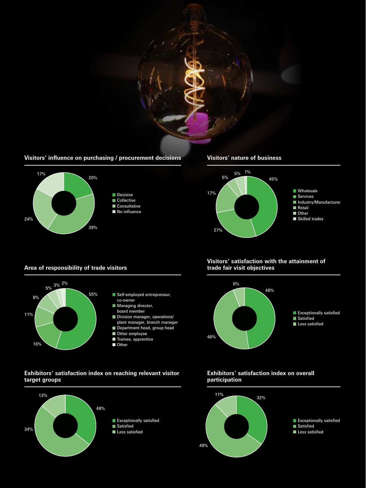

### **Visitors' influence on purchasing / procurement decisions**



### **Area of responsibility of trade visitors**



### **Exhibitors' satisfaction index on reaching relevant visitor target groups**



#### **Visitors' nature of business**



### **Visitors' satisfaction with the attainment of trade fair visit objectives**



### **Exhibitors' satisfaction index on overall participation**

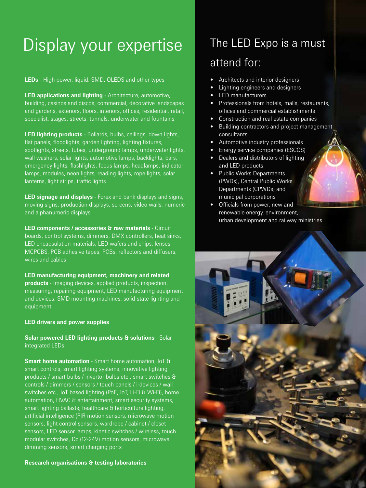## Display your expertise

**LEDs** - High power, liquid, SMD, OLEDS and other types

**LED applications and lighting** - Architecture, automotive, building, casinos and discos, commercial, decorative landscapes and gardens, exteriors, floors, interiors, offices, residential, retail, specialist, stages, streets, tunnels, underwater and fountains

**LED lighting products** - Bollards, bulbs, ceilings, down lights, flat panels, floodlights, garden lighting, lighting fixtures, spotlights, streets, tubes, underground lamps, underwater lights, wall washers, solar lights, automotive lamps, backlights, bars, emergency lights, flashlights, focus lamps, headlamps, indicator lamps, modules, neon lights, reading lights, rope lights, solar lanterns, light strips, traffic lights

**LED signage and displays** - Forex and bank displays and signs, moving signs, production displays, screens, video walls, numeric and alphanumeric displays

**LED components / accessories & raw materials** - Circuit boards, control systems, dimmers, DMX controllers, heat sinks, LED encapsulation materials, LED wafers and chips, lenses, MCPCBS, PCB adhesive tapes, PCBs, reflectors and diffusers, wires and cables

**LED manufacturing equipment, machinery and related products** - Imaging devices, applied products, inspection, measuring, repairing equipment, LED manufacturing equipment and devices, SMD mounting machines, solid-state lighting and equipment

### **LED drivers and power supplies**

**Solar powered LED lighting products & solutions** - Solar integrated LEDs

**Smart home automation** - Smart home automation, IoT & smart controls, smart lighting systems, innovative lighting products / smart bulbs / invertor bulbs etc., smart switches & controls / dimmers / sensors / touch panels / i-devices / wall switches etc., IoT based lighting (PoE, IoT, Li-Fi & Wi-Fi), home automation, HVAC & entertainment, smart security systems, smart lighting ballasts, healthcare & horticulture lighting, artificial intelligence (PIR motion sensors, microwave motion sensors, light control sensors, wardrobe / cabinet / closet sensors, LED sensor lamps, kinetic switches / wireless, touch modular switches, Dc (12-24V) motion sensors, microwave dimming sensors, smart charging ports

**Research organisations & testing laboratories**

## The LED Expo is a must attend for:

- Architects and interior designers
- Lighting engineers and designers
- LED manufacturers
- Professionals from hotels, malls, restaurants, offices and commercial establishments
- Construction and real estate companies
- Building contractors and project management consultants
- Automotive industry professionals
- Energy service companies (ESCOS)
- Dealers and distributors of lighting and LED products
- Public Works Departments (PWDs), Central Public Works Departments (CPWDs) and municipal corporations
- Officials from power, new and renewable energy, environment, urban development and railway ministries